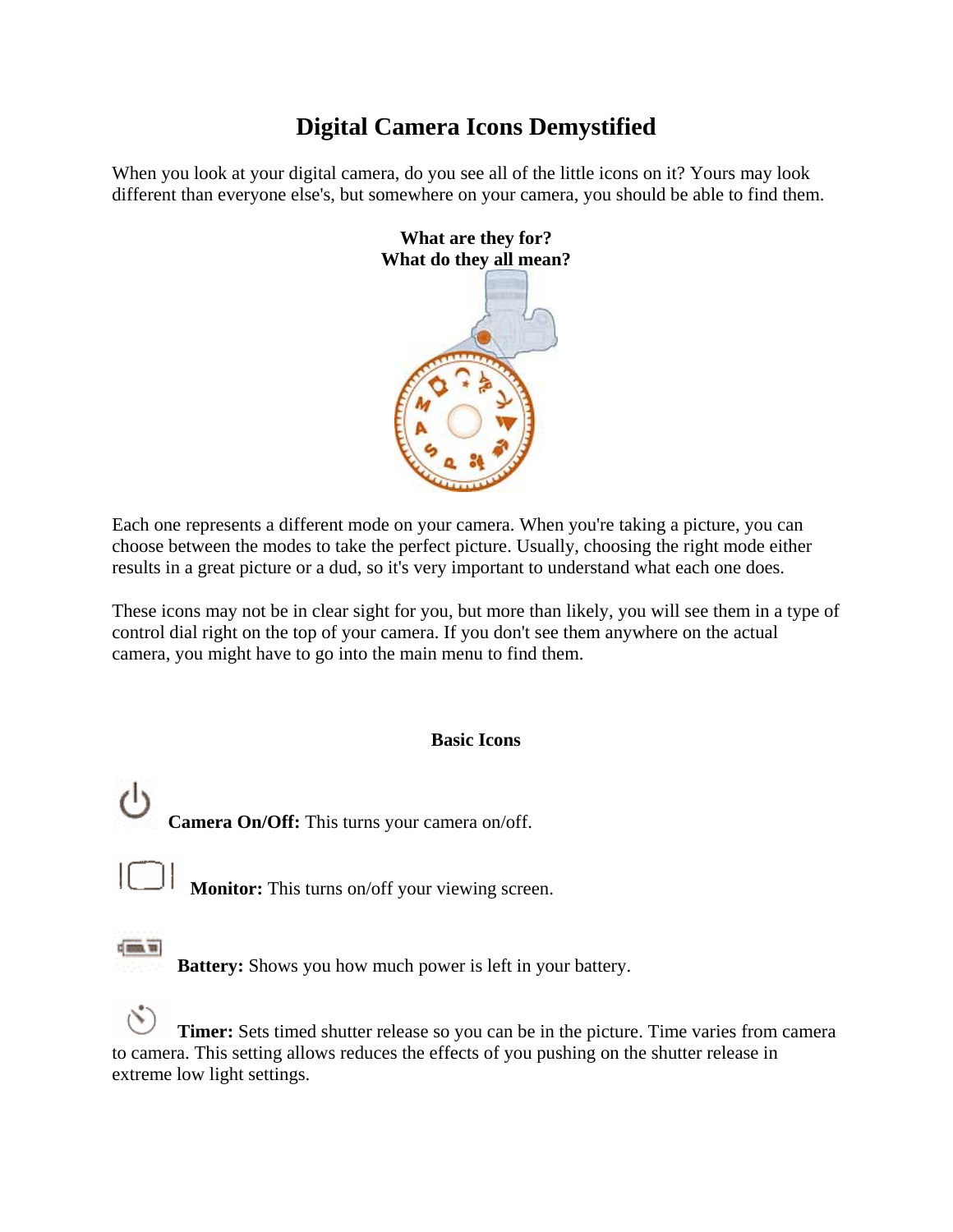## **Digital Camera Icons Demystified**

When you look at your digital camera, do you see all of the little icons on it? Yours may look different than everyone else's, but somewhere on your camera, you should be able to find them.



Each one represents a different mode on your camera. When you're taking a picture, you can choose between the modes to take the perfect picture. Usually, choosing the right mode either results in a great picture or a dud, so it's very important to understand what each one does.

These icons may not be in clear sight for you, but more than likely, you will see them in a type of control dial right on the top of your camera. If you don't see them anywhere on the actual camera, you might have to go into the main menu to find them.

#### **Basic Icons**

**Camera On/Off:** This turns your camera on/off.

**Monitor:** This turns on/off your viewing screen.



**Battery:** Shows you how much power is left in your battery.

 **Timer:** Sets timed shutter release so you can be in the picture. Time varies from camera to camera. This setting allows reduces the effects of you pushing on the shutter release in extreme low light settings.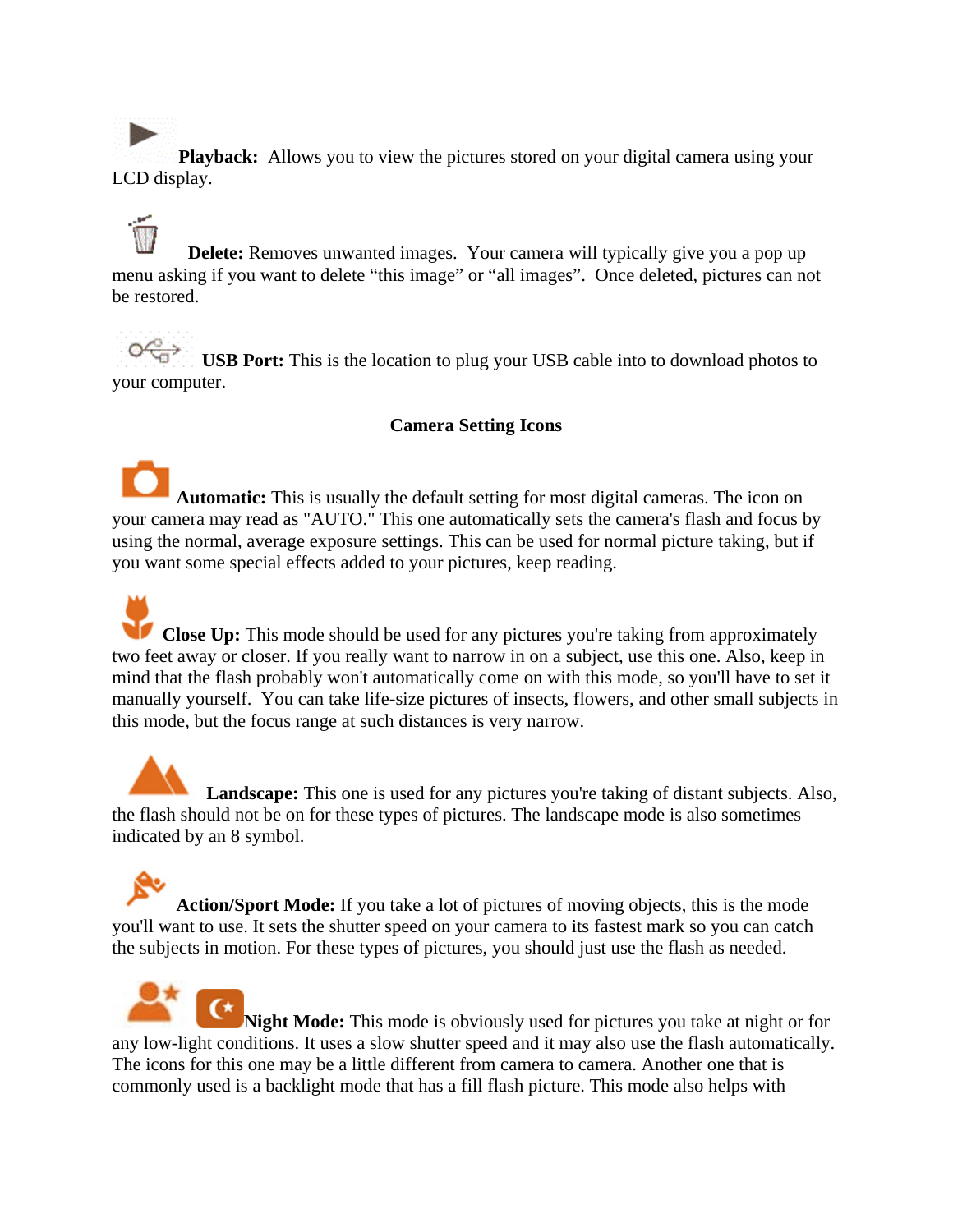**Playback:** Allows you to view the pictures stored on your digital camera using your LCD display.

**Delete:** Removes unwanted images. Your camera will typically give you a pop up menu asking if you want to delete "this image" or "all images". Once deleted, pictures can not be restored.

 **USB Port:** This is the location to plug your USB cable into to download photos to your computer.

#### **Camera Setting Icons**

**Automatic:** This is usually the default setting for most digital cameras. The icon on your camera may read as "AUTO." This one automatically sets the camera's flash and focus by using the normal, average exposure settings. This can be used for normal picture taking, but if you want some special effects added to your pictures, keep reading.

**Close Up:** This mode should be used for any pictures you're taking from approximately two feet away or closer. If you really want to narrow in on a subject, use this one. Also, keep in mind that the flash probably won't automatically come on with this mode, so you'll have to set it manually yourself. You can take life-size pictures of insects, flowers, and other small subjects in this mode, but the focus range at such distances is very narrow.

**Landscape:** This one is used for any pictures you're taking of distant subjects. Also, the flash should not be on for these types of pictures. The landscape mode is also sometimes indicated by an 8 symbol.

**Action/Sport Mode:** If you take a lot of pictures of moving objects, this is the mode you'll want to use. It sets the shutter speed on your camera to its fastest mark so you can catch the subjects in motion. For these types of pictures, you should just use the flash as needed.

**Night Mode:** This mode is obviously used for pictures you take at night or for any low-light conditions. It uses a slow shutter speed and it may also use the flash automatically. The icons for this one may be a little different from camera to camera. Another one that is commonly used is a backlight mode that has a fill flash picture. This mode also helps with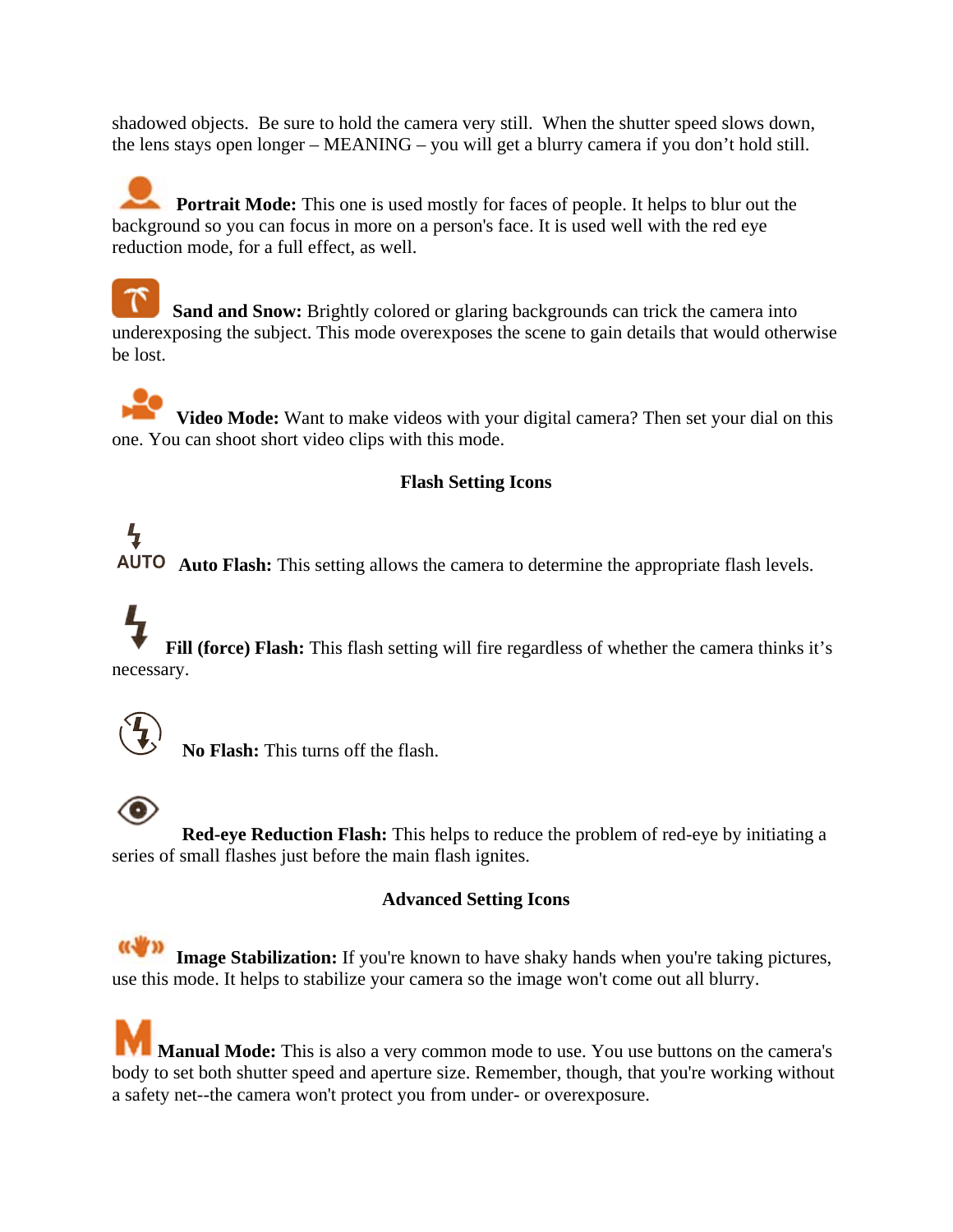shadowed objects. Be sure to hold the camera very still. When the shutter speed slows down, the lens stays open longer – MEANING – you will get a blurry camera if you don't hold still.

**Portrait Mode:** This one is used mostly for faces of people. It helps to blur out the background so you can focus in more on a person's face. It is used well with the red eye reduction mode, for a full effect, as well.

 **Sand and Snow:** Brightly colored or glaring backgrounds can trick the camera into underexposing the subject. This mode overexposes the scene to gain details that would otherwise be lost.

**Video Mode:** Want to make videos with your digital camera? Then set your dial on this one. You can shoot short video clips with this mode.

### **Flash Setting Icons**

# Ł **Auto Flash:** This setting allows the camera to determine the appropriate flash levels.

 **Fill (force) Flash:** This flash setting will fire regardless of whether the camera thinks it's necessary.



**No Flash:** This turns off the flash.

 **Red-eye Reduction Flash:** This helps to reduce the problem of red-eye by initiating a series of small flashes just before the main flash ignites.

#### **Advanced Setting Icons**

**Image Stabilization:** If you're known to have shaky hands when you're taking pictures, use this mode. It helps to stabilize your camera so the image won't come out all blurry.

**Manual Mode:** This is also a very common mode to use. You use buttons on the camera's body to set both shutter speed and aperture size. Remember, though, that you're working without a safety net--the camera won't protect you from under- or overexposure.